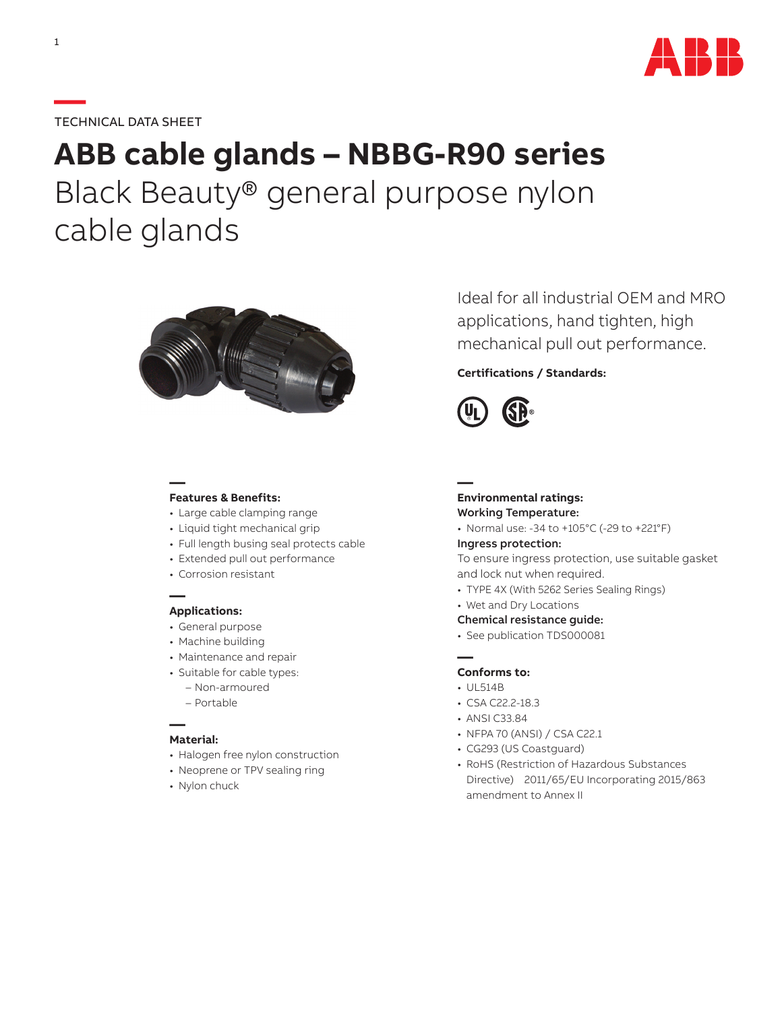

## **—**TECHNICAL DATA SHEET

# **ABB cable glands – NBBG-R90 series** Black Beauty® general purpose nylon cable glands



### **— Features & Benefits:**

- Large cable clamping range
- Liquid tight mechanical grip
- Full length busing seal protects cable
- Extended pull out performance
- Corrosion resistant

#### **— Applications:**

- General purpose
- Machine building
- Maintenance and repair
- Suitable for cable types:
	- Non-armoured
	- Portable

#### **— Material:**

- Halogen free nylon construction
- Neoprene or TPV sealing ring
- Nylon chuck

Ideal for all industrial OEM and MRO applications, hand tighten, high mechanical pull out performance.

## **Certifications / Standards:**



**—**

#### **Environmental ratings:** Working Temperature:

• Normal use: -34 to +105°C (-29 to +221°F)

#### Ingress protection:

To ensure ingress protection, use suitable gasket and lock nut when required.

- TYPE 4X (With 5262 Series Sealing Rings)
- Wet and Dry Locations
- Chemical resistance guide:
- See publication TDS000081

#### **— Conforms to:**

- UL514B
- CSA C22.2-18.3
- ANSI C33.84
- NFPA 70 (ANSI) / CSA C22.1
- CG293 (US Coastguard)
- RoHS (Restriction of Hazardous Substances Directive) 2011/65/EU Incorporating 2015/863 amendment to Annex II